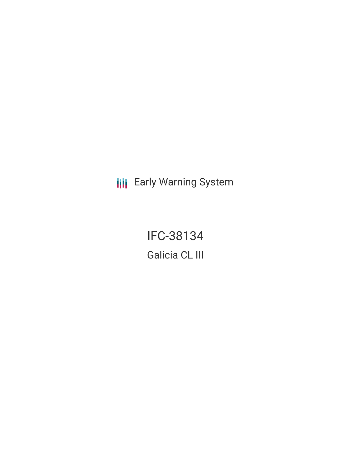**III** Early Warning System

IFC-38134 Galicia CL III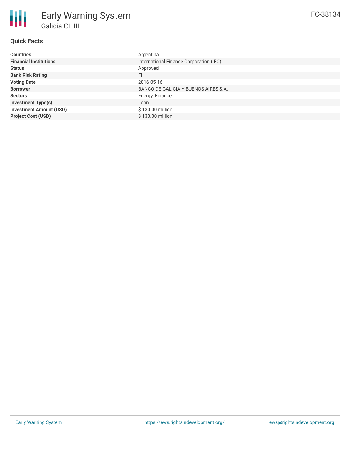# **Quick Facts**

₩

| <b>Countries</b>               | Argentina                               |
|--------------------------------|-----------------------------------------|
| <b>Financial Institutions</b>  | International Finance Corporation (IFC) |
| <b>Status</b>                  | Approved                                |
| <b>Bank Risk Rating</b>        | FI                                      |
| <b>Voting Date</b>             | 2016-05-16                              |
| <b>Borrower</b>                | BANCO DE GALICIA Y BUENOS AIRES S.A.    |
| <b>Sectors</b>                 | Energy, Finance                         |
| <b>Investment Type(s)</b>      | Loan                                    |
| <b>Investment Amount (USD)</b> | \$130.00 million                        |
| <b>Project Cost (USD)</b>      | \$130.00 million                        |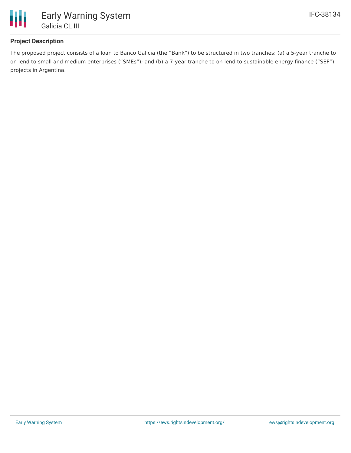

## **Project Description**

The proposed project consists of a loan to Banco Galicia (the "Bank") to be structured in two tranches: (a) a 5-year tranche to on lend to small and medium enterprises ("SMEs"); and (b) a 7-year tranche to on lend to sustainable energy finance ("SEF") projects in Argentina.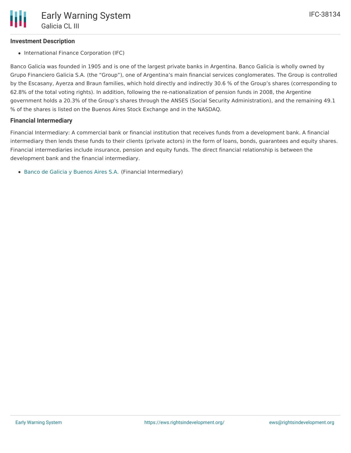#### **Investment Description**

• International Finance Corporation (IFC)

Banco Galicia was founded in 1905 and is one of the largest private banks in Argentina. Banco Galicia is wholly owned by Grupo Financiero Galicia S.A. (the "Group"), one of Argentina's main financial services conglomerates. The Group is controlled by the Escasany, Ayerza and Braun families, which hold directly and indirectly 30.6 % of the Group's shares (corresponding to 62.8% of the total voting rights). In addition, following the re-nationalization of pension funds in 2008, the Argentine government holds a 20.3% of the Group's shares through the ANSES (Social Security Administration), and the remaining 49.1 % of the shares is listed on the Buenos Aires Stock Exchange and in the NASDAQ.

#### **Financial Intermediary**

Financial Intermediary: A commercial bank or financial institution that receives funds from a development bank. A financial intermediary then lends these funds to their clients (private actors) in the form of loans, bonds, guarantees and equity shares. Financial intermediaries include insurance, pension and equity funds. The direct financial relationship is between the development bank and the financial intermediary.

• Banco de Galicia y [Buenos](file:///actor/632/) Aires S.A. (Financial Intermediary)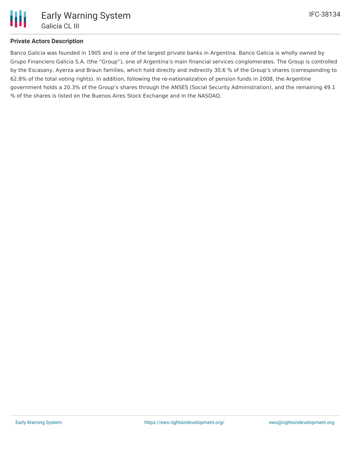

### **Private Actors Description**

Banco Galicia was founded in 1905 and is one of the largest private banks in Argentina. Banco Galicia is wholly owned by Grupo Financiero Galicia S.A. (the "Group"), one of Argentina's main financial services conglomerates. The Group is controlled by the Escasany, Ayerza and Braun families, which hold directly and indirectly 30.6 % of the Group's shares (corresponding to 62.8% of the total voting rights). In addition, following the re-nationalization of pension funds in 2008, the Argentine government holds a 20.3% of the Group's shares through the ANSES (Social Security Administration), and the remaining 49.1 % of the shares is listed on the Buenos Aires Stock Exchange and in the NASDAQ.